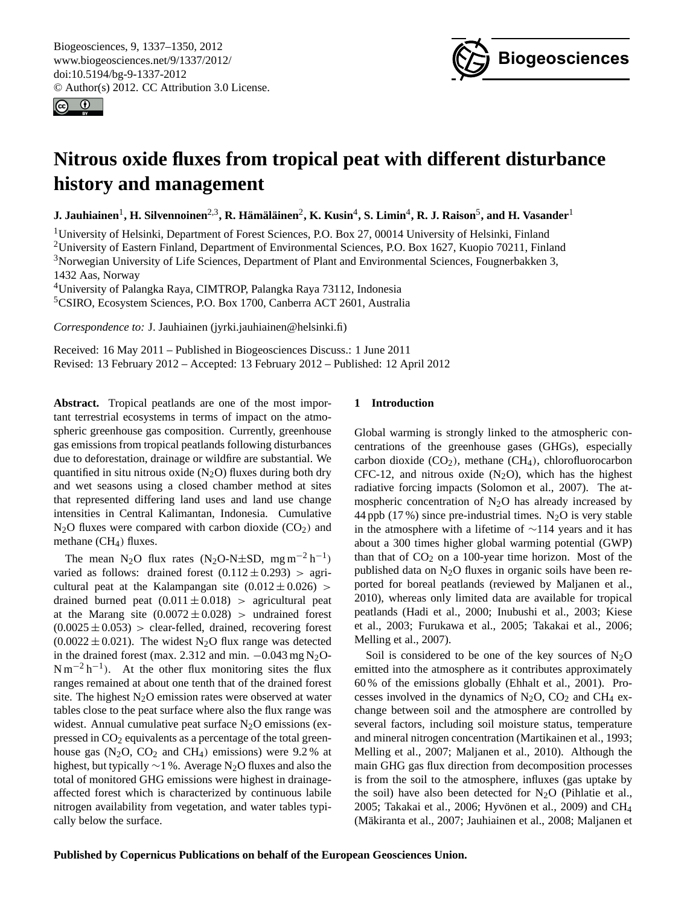<span id="page-0-0"></span>Biogeosciences, 9, 1337–1350, 2012 www.biogeosciences.net/9/1337/2012/ doi:10.5194/bg-9-1337-2012 © Author(s) 2012. CC Attribution 3.0 License.





# **Nitrous oxide fluxes from tropical peat with different disturbance history and management**

 ${\bf J.}$  Jauhiainen $^1,$  H. Silvennoinen $^{2,3}$ , R. Hämäläinen $^2,$  K. Kusin $^4,$  S. Limin $^4,$  R. J. Raison $^5,$  and H. Vasander $^1$ 

<sup>1</sup>University of Helsinki, Department of Forest Sciences, P.O. Box 27, 00014 University of Helsinki, Finland <sup>2</sup>University of Eastern Finland, Department of Environmental Sciences, P.O. Box 1627, Kuopio 70211, Finland <sup>3</sup>Norwegian University of Life Sciences, Department of Plant and Environmental Sciences, Fougnerbakken 3, 1432 Aas, Norway

<sup>4</sup>University of Palangka Raya, CIMTROP, Palangka Raya 73112, Indonesia

<sup>5</sup>CSIRO, Ecosystem Sciences, P.O. Box 1700, Canberra ACT 2601, Australia

*Correspondence to:* J. Jauhiainen (jyrki.jauhiainen@helsinki.fi)

Received: 16 May 2011 – Published in Biogeosciences Discuss.: 1 June 2011 Revised: 13 February 2012 – Accepted: 13 February 2012 – Published: 12 April 2012

**Abstract.** Tropical peatlands are one of the most important terrestrial ecosystems in terms of impact on the atmospheric greenhouse gas composition. Currently, greenhouse gas emissions from tropical peatlands following disturbances due to deforestation, drainage or wildfire are substantial. We quantified in situ nitrous oxide  $(N_2O)$  fluxes during both dry and wet seasons using a closed chamber method at sites that represented differing land uses and land use change intensities in Central Kalimantan, Indonesia. Cumulative  $N<sub>2</sub>O$  fluxes were compared with carbon dioxide (CO<sub>2</sub>) and methane  $(CH_4)$  fluxes.

The mean N<sub>2</sub>O flux rates (N<sub>2</sub>O-N±SD, mg m<sup>-2</sup> h<sup>-1</sup>) varied as follows: drained forest  $(0.112 \pm 0.293) >$  agricultural peat at the Kalampangan site  $(0.012 \pm 0.026)$ drained burned peat  $(0.011 \pm 0.018)$  > agricultural peat at the Marang site  $(0.0072 \pm 0.028)$  > undrained forest  $(0.0025 \pm 0.053)$  > clear-felled, drained, recovering forest  $(0.0022 \pm 0.021)$ . The widest N<sub>2</sub>O flux range was detected in the drained forest (max. 2.312 and min.  $-0.043$  mg N<sub>2</sub>O- $N m^{-2} h^{-1}$ ). At the other flux monitoring sites the flux ranges remained at about one tenth that of the drained forest site. The highest  $N_2O$  emission rates were observed at water tables close to the peat surface where also the flux range was widest. Annual cumulative peat surface  $N_2O$  emissions (expressed in  $CO<sub>2</sub>$  equivalents as a percentage of the total greenhouse gas  $(N_2O, CO_2$  and  $CH_4$ ) emissions) were 9.2% at highest, but typically  $\sim$ 1 %. Average N<sub>2</sub>O fluxes and also the total of monitored GHG emissions were highest in drainageaffected forest which is characterized by continuous labile nitrogen availability from vegetation, and water tables typically below the surface.

# **1 Introduction**

Global warming is strongly linked to the atmospheric concentrations of the greenhouse gases (GHGs), especially carbon dioxide  $(CO_2)$ , methane  $(CH_4)$ , chlorofluorocarbon CFC-12, and nitrous oxide  $(N_2O)$ , which has the highest radiative forcing impacts (Solomon et al., 2007). The atmospheric concentration of  $N_2O$  has already increased by 44 ppb (17 %) since pre-industrial times. N<sub>2</sub>O is very stable in the atmosphere with a lifetime of ∼114 years and it has about a 300 times higher global warming potential (GWP) than that of  $CO<sub>2</sub>$  on a 100-year time horizon. Most of the published data on  $N_2O$  fluxes in organic soils have been reported for boreal peatlands (reviewed by Maljanen et al., 2010), whereas only limited data are available for tropical peatlands (Hadi et al., 2000; Inubushi et al., 2003; Kiese et al., 2003; Furukawa et al., 2005; Takakai et al., 2006; Melling et al., 2007).

Soil is considered to be one of the key sources of  $N_2O$ emitted into the atmosphere as it contributes approximately 60 % of the emissions globally (Ehhalt et al., 2001). Processes involved in the dynamics of  $N_2O$ ,  $CO_2$  and  $CH_4$  exchange between soil and the atmosphere are controlled by several factors, including soil moisture status, temperature and mineral nitrogen concentration (Martikainen et al., 1993; Melling et al., 2007; Maljanen et al., 2010). Although the main GHG gas flux direction from decomposition processes is from the soil to the atmosphere, influxes (gas uptake by the soil) have also been detected for  $N_2O$  (Pihlatie et al., 2005; Takakai et al., 2006; Hyvönen et al., 2009) and CH<sub>4</sub> (Mäkiranta et al., 2007; Jauhiainen et al., 2008; Maljanen et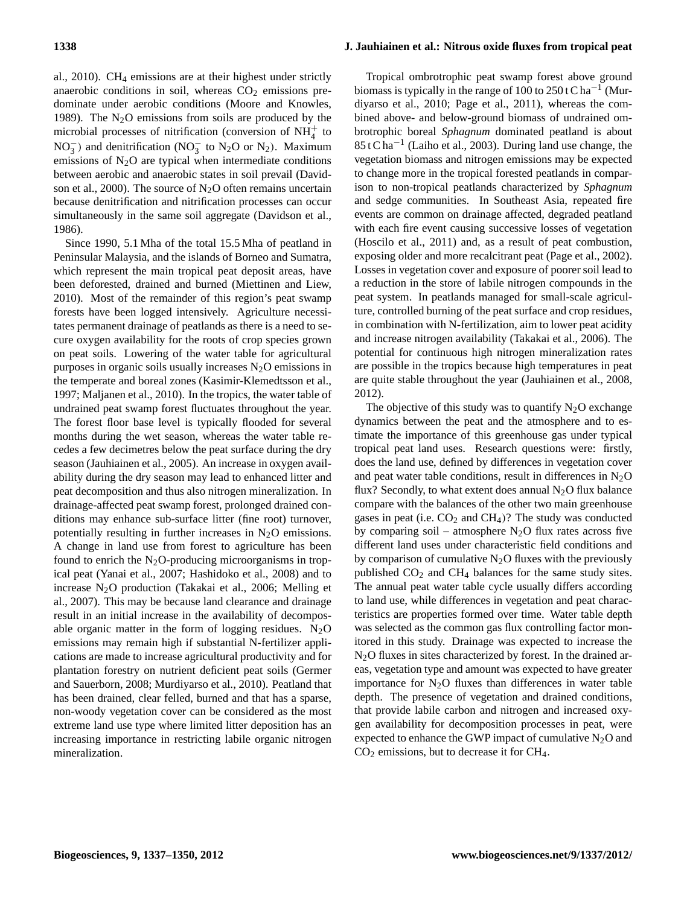al., 2010). CH<sub>4</sub> emissions are at their highest under strictly anaerobic conditions in soil, whereas  $CO<sub>2</sub>$  emissions predominate under aerobic conditions (Moore and Knowles, 1989). The  $N_2O$  emissions from soils are produced by the microbial processes of nitrification (conversion of  $NH<sub>4</sub><sup>+</sup>$  to NO<sub>3</sub><sup>-</sup>) and denitrification (NO<sub>3</sub><sup>-</sup> to N<sub>2</sub>O or N<sub>2</sub>). Maximum emissions of  $N<sub>2</sub>O$  are typical when intermediate conditions between aerobic and anaerobic states in soil prevail (Davidson et al., 2000). The source of  $N_2O$  often remains uncertain because denitrification and nitrification processes can occur simultaneously in the same soil aggregate (Davidson et al., 1986).

Since 1990, 5.1 Mha of the total 15.5 Mha of peatland in Peninsular Malaysia, and the islands of Borneo and Sumatra, which represent the main tropical peat deposit areas, have been deforested, drained and burned (Miettinen and Liew, 2010). Most of the remainder of this region's peat swamp forests have been logged intensively. Agriculture necessitates permanent drainage of peatlands as there is a need to secure oxygen availability for the roots of crop species grown on peat soils. Lowering of the water table for agricultural purposes in organic soils usually increases  $N_2O$  emissions in the temperate and boreal zones (Kasimir-Klemedtsson et al., 1997; Maljanen et al., 2010). In the tropics, the water table of undrained peat swamp forest fluctuates throughout the year. The forest floor base level is typically flooded for several months during the wet season, whereas the water table recedes a few decimetres below the peat surface during the dry season (Jauhiainen et al., 2005). An increase in oxygen availability during the dry season may lead to enhanced litter and peat decomposition and thus also nitrogen mineralization. In drainage-affected peat swamp forest, prolonged drained conditions may enhance sub-surface litter (fine root) turnover, potentially resulting in further increases in  $N_2O$  emissions. A change in land use from forest to agriculture has been found to enrich the  $N_2O$ -producing microorganisms in tropical peat (Yanai et al., 2007; Hashidoko et al., 2008) and to increase  $N_2O$  production (Takakai et al., 2006; Melling et al., 2007). This may be because land clearance and drainage result in an initial increase in the availability of decomposable organic matter in the form of logging residues.  $N_2O$ emissions may remain high if substantial N-fertilizer applications are made to increase agricultural productivity and for plantation forestry on nutrient deficient peat soils (Germer and Sauerborn, 2008; Murdiyarso et al., 2010). Peatland that has been drained, clear felled, burned and that has a sparse, non-woody vegetation cover can be considered as the most extreme land use type where limited litter deposition has an increasing importance in restricting labile organic nitrogen mineralization.

# **1338 J. Jauhiainen et al.: Nitrous oxide fluxes from tropical peat**

Tropical ombrotrophic peat swamp forest above ground biomass is typically in the range of 100 to 250 t C ha<sup>-1</sup> (Murdiyarso et al., 2010; Page et al., 2011), whereas the combined above- and below-ground biomass of undrained ombrotrophic boreal *Sphagnum* dominated peatland is about 85 t C ha−<sup>1</sup> (Laiho et al., 2003). During land use change, the vegetation biomass and nitrogen emissions may be expected to change more in the tropical forested peatlands in comparison to non-tropical peatlands characterized by *Sphagnum* and sedge communities. In Southeast Asia, repeated fire events are common on drainage affected, degraded peatland with each fire event causing successive losses of vegetation (Hoscilo et al., 2011) and, as a result of peat combustion, exposing older and more recalcitrant peat (Page et al., 2002). Losses in vegetation cover and exposure of poorer soil lead to a reduction in the store of labile nitrogen compounds in the peat system. In peatlands managed for small-scale agriculture, controlled burning of the peat surface and crop residues, in combination with N-fertilization, aim to lower peat acidity and increase nitrogen availability (Takakai et al., 2006). The potential for continuous high nitrogen mineralization rates are possible in the tropics because high temperatures in peat are quite stable throughout the year (Jauhiainen et al., 2008, 2012).

The objective of this study was to quantify  $N_2O$  exchange dynamics between the peat and the atmosphere and to estimate the importance of this greenhouse gas under typical tropical peat land uses. Research questions were: firstly, does the land use, defined by differences in vegetation cover and peat water table conditions, result in differences in  $N_2O$ flux? Secondly, to what extent does annual  $N_2O$  flux balance compare with the balances of the other two main greenhouse gases in peat (i.e.  $CO<sub>2</sub>$  and  $CH<sub>4</sub>$ )? The study was conducted by comparing soil – atmosphere  $N_2O$  flux rates across five different land uses under characteristic field conditions and by comparison of cumulative  $N_2O$  fluxes with the previously published  $CO<sub>2</sub>$  and  $CH<sub>4</sub>$  balances for the same study sites. The annual peat water table cycle usually differs according to land use, while differences in vegetation and peat characteristics are properties formed over time. Water table depth was selected as the common gas flux controlling factor monitored in this study. Drainage was expected to increase the N2O fluxes in sites characterized by forest. In the drained areas, vegetation type and amount was expected to have greater importance for  $N_2O$  fluxes than differences in water table depth. The presence of vegetation and drained conditions, that provide labile carbon and nitrogen and increased oxygen availability for decomposition processes in peat, were expected to enhance the GWP impact of cumulative  $N_2O$  and  $CO<sub>2</sub>$  emissions, but to decrease it for CH<sub>4</sub>.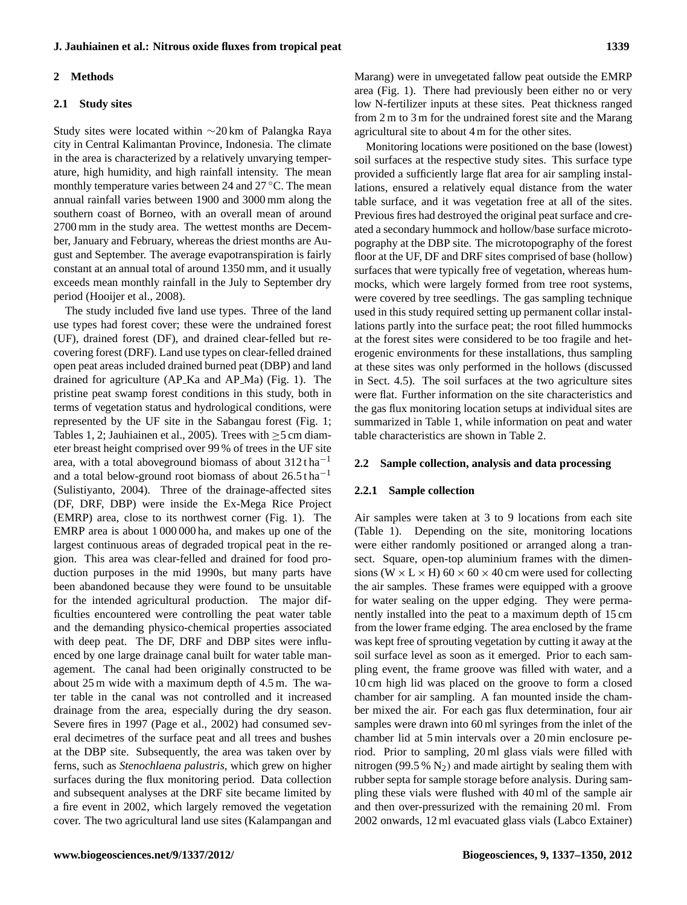# **J. Jauhiainen et al.: Nitrous oxide fluxes from tropical peat 1339**

### **2 Methods**

#### **2.1 Study sites**

Study sites were located within ∼20 km of Palangka Raya city in Central Kalimantan Province, Indonesia. The climate in the area is characterized by a relatively unvarying temperature, high humidity, and high rainfall intensity. The mean monthly temperature varies between 24 and 27 ◦C. The mean annual rainfall varies between 1900 and 3000 mm along the southern coast of Borneo, with an overall mean of around 2700 mm in the study area. The wettest months are December, January and February, whereas the driest months are August and September. The average evapotranspiration is fairly constant at an annual total of around 1350 mm, and it usually exceeds mean monthly rainfall in the July to September dry period (Hooijer et al., 2008).

The study included five land use types. Three of the land use types had forest cover; these were the undrained forest (UF), drained forest (DF), and drained clear-felled but recovering forest (DRF). Land use types on clear-felled drained open peat areas included drained burned peat (DBP) and land drained for agriculture (AP Ka and AP Ma) (Fig. 1). The pristine peat swamp forest conditions in this study, both in terms of vegetation status and hydrological conditions, were represented by the UF site in the Sabangau forest (Fig. 1; Tables 1, 2; Jauhiainen et al., 2005). Trees with  $\geq$ 5 cm diameter breast height comprised over 99 % of trees in the UF site area, with a total aboveground biomass of about  $312 \text{ tha}^{-1}$ and a total below-ground root biomass of about  $26.5$  tha<sup>-1</sup> (Sulistiyanto, 2004). Three of the drainage-affected sites (DF, DRF, DBP) were inside the Ex-Mega Rice Project (EMRP) area, close to its northwest corner (Fig. 1). The EMRP area is about 1 000 000 ha, and makes up one of the largest continuous areas of degraded tropical peat in the region. This area was clear-felled and drained for food production purposes in the mid 1990s, but many parts have been abandoned because they were found to be unsuitable for the intended agricultural production. The major difficulties encountered were controlling the peat water table and the demanding physico-chemical properties associated with deep peat. The DF, DRF and DBP sites were influenced by one large drainage canal built for water table management. The canal had been originally constructed to be about 25 m wide with a maximum depth of 4.5 m. The water table in the canal was not controlled and it increased drainage from the area, especially during the dry season. Severe fires in 1997 (Page et al., 2002) had consumed several decimetres of the surface peat and all trees and bushes at the DBP site. Subsequently, the area was taken over by ferns, such as *Stenochlaena palustris*, which grew on higher surfaces during the flux monitoring period. Data collection and subsequent analyses at the DRF site became limited by a fire event in 2002, which largely removed the vegetation cover. The two agricultural land use sites (Kalampangan and Marang) were in unvegetated fallow peat outside the EMRP area (Fig. 1). There had previously been either no or very low N-fertilizer inputs at these sites. Peat thickness ranged from 2 m to 3 m for the undrained forest site and the Marang agricultural site to about 4 m for the other sites.

Monitoring locations were positioned on the base (lowest) soil surfaces at the respective study sites. This surface type provided a sufficiently large flat area for air sampling installations, ensured a relatively equal distance from the water table surface, and it was vegetation free at all of the sites. Previous fires had destroyed the original peat surface and created a secondary hummock and hollow/base surface microtopography at the DBP site. The microtopography of the forest floor at the UF, DF and DRF sites comprised of base (hollow) surfaces that were typically free of vegetation, whereas hummocks, which were largely formed from tree root systems, were covered by tree seedlings. The gas sampling technique used in this study required setting up permanent collar installations partly into the surface peat; the root filled hummocks at the forest sites were considered to be too fragile and heterogenic environments for these installations, thus sampling at these sites was only performed in the hollows (discussed in Sect. 4.5). The soil surfaces at the two agriculture sites were flat. Further information on the site characteristics and the gas flux monitoring location setups at individual sites are summarized in Table 1, while information on peat and water table characteristics are shown in Table 2.

#### **2.2 Sample collection, analysis and data processing**

#### **2.2.1 Sample collection**

Air samples were taken at 3 to 9 locations from each site (Table 1). Depending on the site, monitoring locations were either randomly positioned or arranged along a transect. Square, open-top aluminium frames with the dimensions (W  $\times$  L  $\times$  H) 60  $\times$  60  $\times$  40 cm were used for collecting the air samples. These frames were equipped with a groove for water sealing on the upper edging. They were permanently installed into the peat to a maximum depth of 15 cm from the lower frame edging. The area enclosed by the frame was kept free of sprouting vegetation by cutting it away at the soil surface level as soon as it emerged. Prior to each sampling event, the frame groove was filled with water, and a 10 cm high lid was placed on the groove to form a closed chamber for air sampling. A fan mounted inside the chamber mixed the air. For each gas flux determination, four air samples were drawn into 60 ml syringes from the inlet of the chamber lid at 5 min intervals over a 20 min enclosure period. Prior to sampling, 20 ml glass vials were filled with nitrogen (99.5 %  $N_2$ ) and made airtight by sealing them with rubber septa for sample storage before analysis. During sampling these vials were flushed with 40 ml of the sample air and then over-pressurized with the remaining 20 ml. From 2002 onwards, 12 ml evacuated glass vials (Labco Extainer)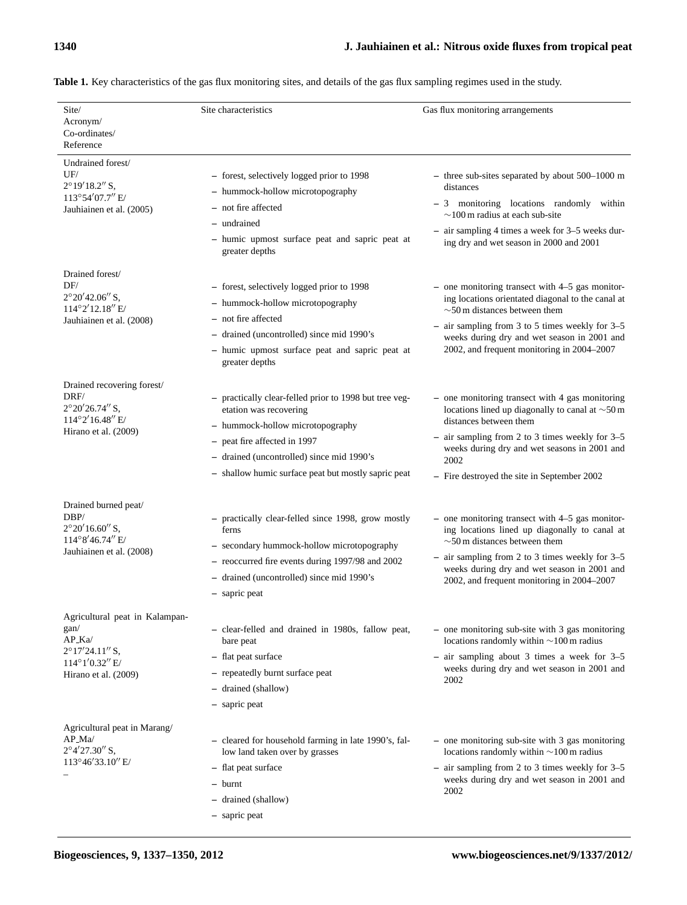| Site/<br>Acronym/<br>Co-ordinates/<br>Reference                                                                                   | Site characteristics                                                                                                                                                                                                                                     | Gas flux monitoring arrangements                                                                                                                                                                                                                                                             |
|-----------------------------------------------------------------------------------------------------------------------------------|----------------------------------------------------------------------------------------------------------------------------------------------------------------------------------------------------------------------------------------------------------|----------------------------------------------------------------------------------------------------------------------------------------------------------------------------------------------------------------------------------------------------------------------------------------------|
| Undrained forest/<br>UF/<br>$2^{\circ}19'18.2''$ S,<br>113°54'07.7" E/<br>Jauhiainen et al. (2005)                                | - forest, selectively logged prior to 1998<br>- hummock-hollow microtopography<br>- not fire affected<br>- undrained<br>- humic upmost surface peat and sapric peat at<br>greater depths                                                                 | $-$ three sub-sites separated by about 500–1000 m<br>distances<br>- 3 monitoring locations randomly within<br>$\sim$ 100 m radius at each sub-site<br>- air sampling 4 times a week for 3–5 weeks dur-<br>ing dry and wet season in 2000 and 2001                                            |
| Drained forest/<br>DF/<br>$2^{\circ}20'42.06''$ S,<br>114°2'12.18" E/<br>Jauhiainen et al. (2008)                                 | - forest, selectively logged prior to 1998<br>- hummock-hollow microtopography<br>- not fire affected<br>- drained (uncontrolled) since mid 1990's<br>- humic upmost surface peat and sapric peat at<br>greater depths                                   | $-$ one monitoring transect with $4-5$ gas monitor-<br>ing locations orientated diagonal to the canal at<br>$\sim$ 50 m distances between them<br>air sampling from 3 to 5 times weekly for 3-5<br>weeks during dry and wet season in 2001 and<br>2002, and frequent monitoring in 2004-2007 |
| Drained recovering forest/<br>DRF/<br>$2^{\circ}20'26.74''$ S,<br>$114^{\circ}2'16.48''$ E/<br>Hirano et al. (2009)               | - practically clear-felled prior to 1998 but tree veg-<br>etation was recovering<br>- hummock-hollow microtopography<br>- peat fire affected in 1997<br>- drained (uncontrolled) since mid 1990's<br>- shallow humic surface peat but mostly sapric peat | - one monitoring transect with 4 gas monitoring<br>locations lined up diagonally to canal at $\sim$ 50 m<br>distances between them<br>- air sampling from 2 to 3 times weekly for 3-5<br>weeks during dry and wet seasons in 2001 and<br>2002<br>- Fire destroyed the site in September 2002 |
| Drained burned peat/<br>DBP/<br>$2^{\circ}20'16.60''$ S,<br>114°8'46.74" E/<br>Jauhiainen et al. (2008)                           | - practically clear-felled since 1998, grow mostly<br>ferns<br>- secondary hummock-hollow microtopography<br>- reoccurred fire events during 1997/98 and 2002<br>- drained (uncontrolled) since mid 1990's<br>- sapric peat                              | $-$ one monitoring transect with $4-5$ gas monitor-<br>ing locations lined up diagonally to canal at<br>$\sim$ 50 m distances between them<br>air sampling from 2 to 3 times weekly for $3-5$<br>weeks during dry and wet season in 2001 and<br>2002, and frequent monitoring in 2004-2007   |
| Agricultural peat in Kalampan-<br>gan/<br>$AP_Ka$<br>$2^{\circ}17'24.11''$ S,<br>$114^{\circ}1'0.32''$ E/<br>Hirano et al. (2009) | - clear-felled and drained in 1980s, fallow peat,<br>bare peat<br>- flat peat surface<br>- repeatedly burnt surface peat<br>- drained (shallow)<br>- sapric peat                                                                                         | $-$ one monitoring sub-site with 3 gas monitoring<br>locations randomly within $\sim$ 100 m radius<br>$-$ air sampling about 3 times a week for 3-5<br>weeks during dry and wet season in 2001 and<br>2002                                                                                   |
| Agricultural peat in Marang/<br>$AP_Ma$<br>$2^{\circ}4'27.30''$ S,<br>113°46'33.10" E/                                            | - cleared for household farming in late 1990's, fal-<br>low land taken over by grasses<br>- flat peat surface<br>- burnt<br>- drained (shallow)<br>- sapric peat                                                                                         | - one monitoring sub-site with 3 gas monitoring<br>locations randomly within $\sim$ 100 m radius<br>- air sampling from 2 to 3 times weekly for 3-5<br>weeks during dry and wet season in 2001 and<br>2002                                                                                   |

**Table 1.** Key characteristics of the gas flux monitoring sites, and details of the gas flux sampling regimes used in the study.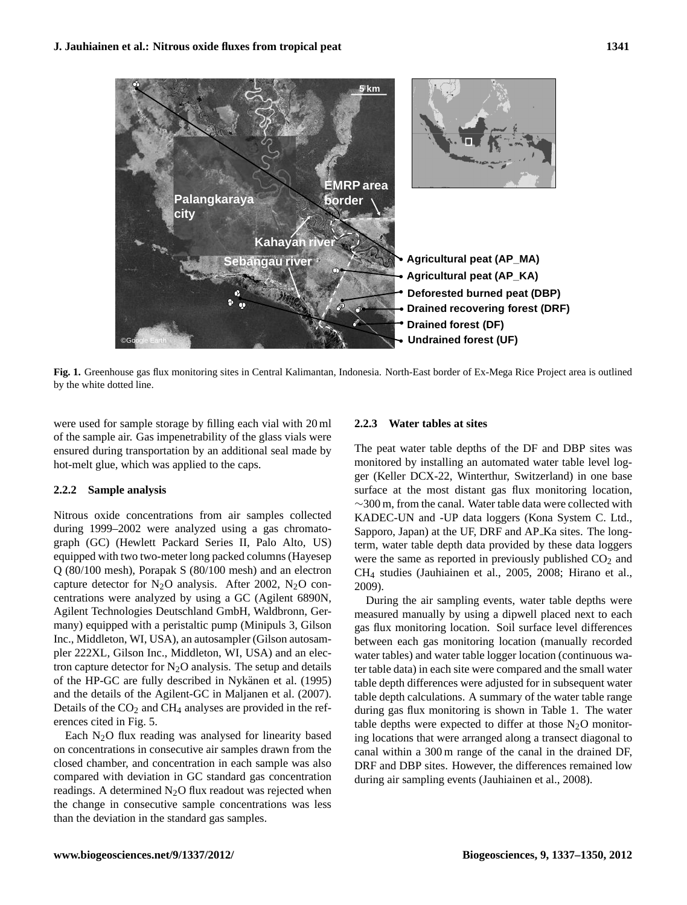

by the white dotted line. **Fig. 1.** Greenhouse gas flux monitoring sites in Central Kalimantan, Indonesia. North-East border of Ex-Mega Rice Project area is outlined

691 of Ex-Mega Rice Project area is outlined by the white dotted line. were used for sample storage by filling each vial with 20 ml of the sample air. Gas impenetrability of the glass vials were ensured during transportation by an additional seal made by hot-melt glue, which was applied to the caps.

# **2.2.2 Sample analysis**

Nitrous oxide concentrations from air samples collected during 1999–2002 were analyzed using a gas chromatograph (GC) (Hewlett Packard Series II, Palo Alto, US) equipped with two two-meter long packed columns (Hayesep Q (80/100 mesh), Porapak S (80/100 mesh) and an electron capture detector for  $N_2O$  analysis. After 2002,  $N_2O$  concentrations were analyzed by using a GC (Agilent 6890N, Agilent Technologies Deutschland GmbH, Waldbronn, Germany) equipped with a peristaltic pump (Minipuls 3, Gilson Inc., Middleton, WI, USA), an autosampler (Gilson autosampler 222XL, Gilson Inc., Middleton, WI, USA) and an electron capture detector for  $N_2O$  analysis. The setup and details of the HP-GC are fully described in Nykänen et al. (1995) and the details of the Agilent-GC in Maljanen et al. (2007). Details of the  $CO<sub>2</sub>$  and  $CH<sub>4</sub>$  analyses are provided in the references cited in Fig. 5.

Each  $N<sub>2</sub>O$  flux reading was analysed for linearity based on concentrations in consecutive air samples drawn from the closed chamber, and concentration in each sample was also compared with deviation in GC standard gas concentration readings. A determined  $N_2O$  flux readout was rejected when the change in consecutive sample concentrations was less than the deviation in the standard gas samples.

# **2.2.3 Water tables at sites**

The peat water table depths of the DF and DBP sites was monitored by installing an automated water table level logger (Keller DCX-22, Winterthur, Switzerland) in one base surface at the most distant gas flux monitoring location, ∼300 m, from the canal. Water table data were collected with KADEC-UN and -UP data loggers (Kona System C. Ltd., Sapporo, Japan) at the UF, DRF and AP<sub>-</sub>Ka sites. The longterm, water table depth data provided by these data loggers were the same as reported in previously published  $CO<sub>2</sub>$  and CH<sup>4</sup> studies (Jauhiainen et al., 2005, 2008; Hirano et al., 2009).

22 during air sampling events (Jauhiainen et al., 2008). During the air sampling events, water table depths were measured manually by using a dipwell placed next to each gas flux monitoring location. Soil surface level differences between each gas monitoring location (manually recorded water tables) and water table logger location (continuous water table data) in each site were compared and the small water table depth differences were adjusted for in subsequent water table depth calculations. A summary of the water table range during gas flux monitoring is shown in Table 1. The water table depths were expected to differ at those  $N_2O$  monitoring locations that were arranged along a transect diagonal to canal within a 300 m range of the canal in the drained DF, DRF and DBP sites. However, the differences remained low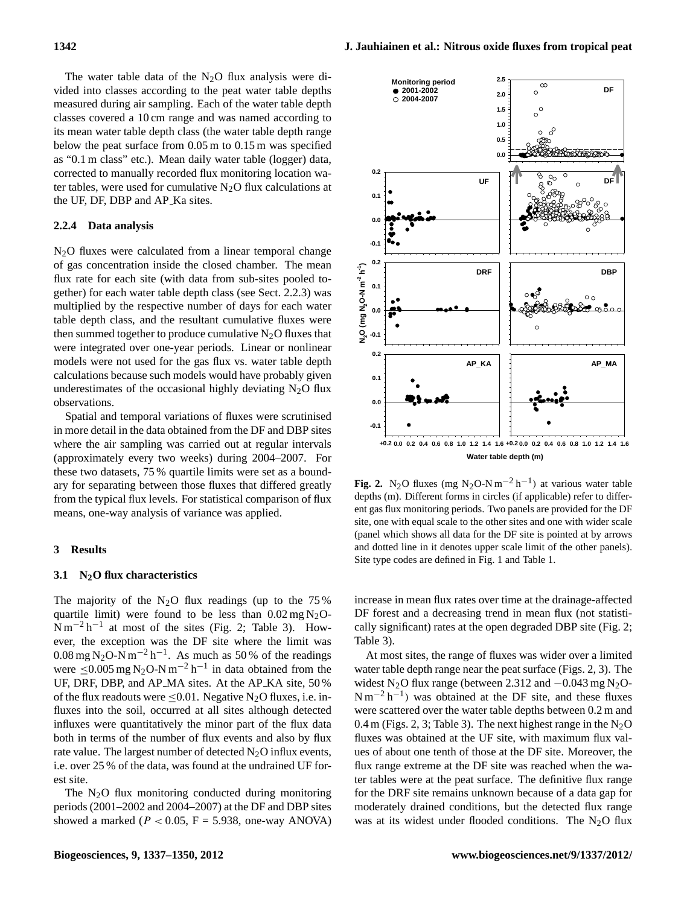The water table data of the  $N_2O$  flux analysis were divided into classes according to the peat water table depths measured during air sampling. Each of the water table depth classes covered a 10 cm range and was named according to its mean water table depth class (the water table depth range below the peat surface from 0.05 m to 0.15 m was specified as "0.1 m class" etc.). Mean daily water table (logger) data, corrected to manually recorded flux monitoring location water tables, were used for cumulative  $N_2O$  flux calculations at the UF, DF, DBP and AP Ka sites.

## **2.2.4 Data analysis**

 $N<sub>2</sub>O$  fluxes were calculated from a linear temporal change of gas concentration inside the closed chamber. The mean flux rate for each site (with data from sub-sites pooled together) for each water table depth class (see Sect. 2.2.3) was multiplied by the respective number of days for each water table depth class, and the resultant cumulative fluxes were then summed together to produce cumulative  $N_2O$  fluxes that were integrated over one-year periods. Linear or nonlinear models were not used for the gas flux vs. water table depth calculations because such models would have probably given underestimates of the occasional highly deviating  $N_2O$  flux observations.

Spatial and temporal variations of fluxes were scrutinised in more detail in the data obtained from the DF and DBP sites where the air sampling was carried out at regular intervals (approximately every two weeks) during 2004–2007. For these two datasets, 75 % quartile limits were set as a boundary for separating between those fluxes that differed greatly from the typical flux levels. For statistical comparison of flux means, one-way analysis of variance was applied.

#### **3 Results**

#### **3.1 N2O flux characteristics**

The majority of the  $N_2O$  flux readings (up to the 75% quartile limit) were found to be less than  $0.02 \text{ mg N}_2\text{O}$ - $\text{Nm}^{-2} \text{h}^{-1}$  at most of the sites (Fig. 2; Table 3). However, the exception was the DF site where the limit was 0.08 mg N<sub>2</sub>O-N m<sup>-2</sup> h<sup>-1</sup>. As much as 50 % of the readings were  $\leq 0.005$  mg N<sub>2</sub>O-N m<sup>-2</sup> h<sup>-1</sup> in data obtained from the UF, DRF, DBP, and AP MA sites. At the AP KA site, 50 % of the flux readouts were  $\leq 0.01$ . Negative N<sub>2</sub>O fluxes, i.e. influxes into the soil, occurred at all sites although detected influxes were quantitatively the minor part of the flux data both in terms of the number of flux events and also by flux rate value. The largest number of detected  $N_2O$  influx events, i.e. over 25 % of the data, was found at the undrained UF forest site.

The  $N<sub>2</sub>O$  flux monitoring conducted during monitoring periods (2001–2002 and 2004–2007) at the DF and DBP sites showed a marked ( $P < 0.05$ ,  $F = 5.938$ , one-way ANOVA)



**Fig. 2.** N<sub>2</sub>O fluxes (mg N<sub>2</sub>O-N m<sup>-2</sup> h<sup>-1</sup>) at various water table depths (m). Different forms in circles (if applicable) refer to different gas flux monitoring periods. Two panels are provided for the DF site, one with equal scale to the other sites and one with wider scale (panel which shows all data for the DF site is pointed at by arrows and dotted line in it denotes upper scale limit of the other panels). Site type codes are defined in Fig. 1 and Table 1.

increase in mean flux rates over time at the drainage-affected DF forest and a decreasing trend in mean flux (not statistically significant) rates at the open degraded DBP site (Fig. 2; Table 3).

At most sites, the range of fluxes was wider over a limited water table depth range near the peat surface (Figs. 2, 3). The widest N<sub>2</sub>O flux range (between 2.312 and  $-0.043$  mg N<sub>2</sub>O- $N m^{-2} h^{-1}$ ) was obtained at the DF site, and these fluxes were scattered over the water table depths between 0.2 m and 0.4 m (Figs. 2, 3; Table 3). The next highest range in the  $N_2O$ fluxes was obtained at the UF site, with maximum flux values of about one tenth of those at the DF site. Moreover, the flux range extreme at the DF site was reached when the water tables were at the peat surface. The definitive flux range for the DRF site remains unknown because of a data gap for moderately drained conditions, but the detected flux range was at its widest under flooded conditions. The  $N_2O$  flux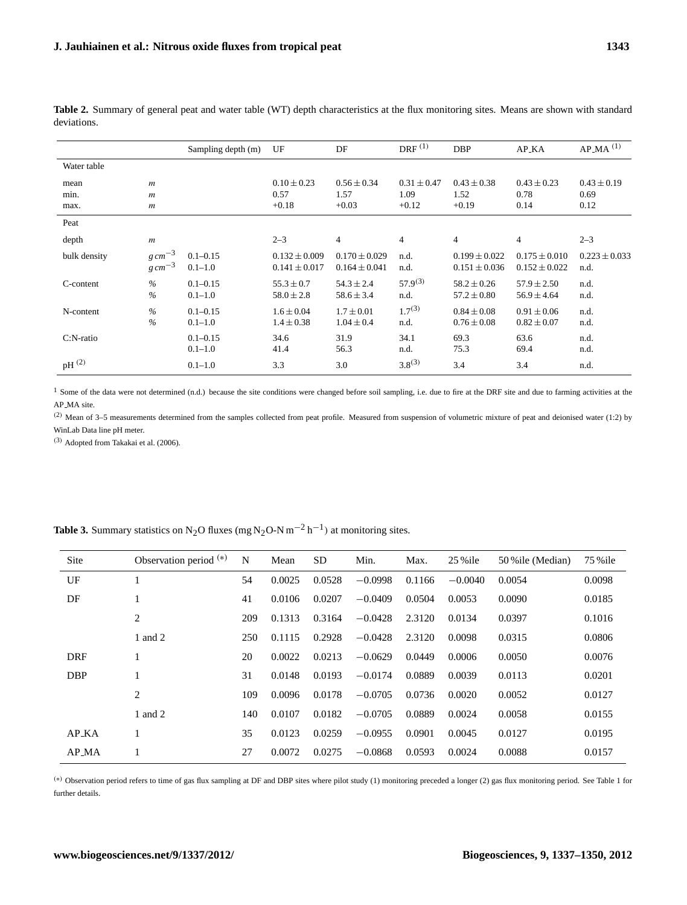|              |                  | Sampling depth (m) | UF                | DF                | DRF <sup>(1)</sup> | <b>DBP</b>        | AP_KA             | $AP\_MA$ <sup>(1)</sup> |
|--------------|------------------|--------------------|-------------------|-------------------|--------------------|-------------------|-------------------|-------------------------|
| Water table  |                  |                    |                   |                   |                    |                   |                   |                         |
| mean         | $\mathfrak{m}$   |                    | $0.10 \pm 0.23$   | $0.56 \pm 0.34$   | $0.31 \pm 0.47$    | $0.43 \pm 0.38$   | $0.43 \pm 0.23$   | $0.43 \pm 0.19$         |
| min.         | $\boldsymbol{m}$ |                    | 0.57              | 1.57              | 1.09               | 1.52              | 0.78              | 0.69                    |
| max.         | $\boldsymbol{m}$ |                    | $+0.18$           | $+0.03$           | $+0.12$            | $+0.19$           | 0.14              | 0.12                    |
| Peat         |                  |                    |                   |                   |                    |                   |                   |                         |
| depth        | $\boldsymbol{m}$ |                    | $2 - 3$           | $\overline{4}$    | $\overline{4}$     | $\overline{4}$    | $\overline{4}$    | $2 - 3$                 |
| bulk density | $g \, cm^{-3}$   | $0.1 - 0.15$       | $0.132 \pm 0.009$ | $0.170 \pm 0.029$ | n.d.               | $0.199 \pm 0.022$ | $0.175 \pm 0.010$ | $0.223 \pm 0.033$       |
|              | $g \, cm^{-3}$   | $0.1 - 1.0$        | $0.141 \pm 0.017$ | $0.164 \pm 0.041$ | n.d.               | $0.151 \pm 0.036$ | $0.152 \pm 0.022$ | n.d.                    |
| C-content    | $\frac{0}{0}$    | $0.1 - 0.15$       | $55.3 \pm 0.7$    | $54.3 \pm 2.4$    | $57.9^{(3)}$       | $58.2 \pm 0.26$   | $57.9 \pm 2.50$   | n.d.                    |
|              | $\frac{0}{0}$    | $0.1 - 1.0$        | $58.0 \pm 2.8$    | $58.6 \pm 3.4$    | n.d.               | $57.2 \pm 0.80$   | $56.9 \pm 4.64$   | n.d.                    |
| N-content    | $\%$             | $0.1 - 0.15$       | $1.6 \pm 0.04$    | $1.7 \pm 0.01$    | $1.7^{(3)}$        | $0.84 \pm 0.08$   | $0.91 \pm 0.06$   | n.d.                    |
|              | $\frac{0}{0}$    | $0.1 - 1.0$        | $1.4 \pm 0.38$    | $1.04 \pm 0.4$    | n.d.               | $0.76 \pm 0.08$   | $0.82 \pm 0.07$   | n.d.                    |
| $C:N$ -ratio |                  | $0.1 - 0.15$       | 34.6              | 31.9              | 34.1               | 69.3              | 63.6              | n.d.                    |
|              |                  | $0.1 - 1.0$        | 41.4              | 56.3              | n.d.               | 75.3              | 69.4              | n.d.                    |
| $pH^{(2)}$   |                  | $0.1 - 1.0$        | 3.3               | 3.0               | $3.8^{(3)}$        | 3.4               | 3.4               | n.d.                    |

**Table 2.** Summary of general peat and water table (WT) depth characteristics at the flux monitoring sites. Means are shown with standard deviations.

<sup>1</sup> Some of the data were not determined (n.d.) because the site conditions were changed before soil sampling, i.e. due to fire at the DRF site and due to farming activities at the AP\_MA site.

(2) Mean of 3–5 measurements determined from the samples collected from peat profile. Measured from suspension of volumetric mixture of peat and deionised water (1:2) by WinLab Data line pH meter.

(3) Adopted from Takakai et al. (2006).

| Site               | Observation period $(*)$ | N   | Mean   | <b>SD</b> | Min.      | Max.   | $25%$ ile | 50 % ile (Median) | 75 % ile |
|--------------------|--------------------------|-----|--------|-----------|-----------|--------|-----------|-------------------|----------|
| UF                 |                          | 54  | 0.0025 | 0.0528    | $-0.0998$ | 0.1166 | $-0.0040$ | 0.0054            | 0.0098   |
| DF                 | 1                        | 41  | 0.0106 | 0.0207    | $-0.0409$ | 0.0504 | 0.0053    | 0.0090            | 0.0185   |
|                    | 2                        | 209 | 0.1313 | 0.3164    | $-0.0428$ | 2.3120 | 0.0134    | 0.0397            | 0.1016   |
|                    | 1 and 2                  | 250 | 0.1115 | 0.2928    | $-0.0428$ | 2.3120 | 0.0098    | 0.0315            | 0.0806   |
| <b>DRF</b>         | 1                        | 20  | 0.0022 | 0.0213    | $-0.0629$ | 0.0449 | 0.0006    | 0.0050            | 0.0076   |
| <b>DBP</b>         | 1                        | 31  | 0.0148 | 0.0193    | $-0.0174$ | 0.0889 | 0.0039    | 0.0113            | 0.0201   |
|                    | 2                        | 109 | 0.0096 | 0.0178    | $-0.0705$ | 0.0736 | 0.0020    | 0.0052            | 0.0127   |
|                    | 1 and 2                  | 140 | 0.0107 | 0.0182    | $-0.0705$ | 0.0889 | 0.0024    | 0.0058            | 0.0155   |
| AP <sub>-</sub> KA | 1                        | 35  | 0.0123 | 0.0259    | $-0.0955$ | 0.0901 | 0.0045    | 0.0127            | 0.0195   |
| AP_MA              | н                        | 27  | 0.0072 | 0.0275    | $-0.0868$ | 0.0593 | 0.0024    | 0.0088            | 0.0157   |

**Table 3.** Summary statistics on N<sub>2</sub>O fluxes (mg N<sub>2</sub>O-N m<sup>-2</sup> h<sup>-1</sup>) at monitoring sites.

(∗) Observation period refers to time of gas flux sampling at DF and DBP sites where pilot study (1) monitoring preceded a longer (2) gas flux monitoring period. See Table 1 for further details.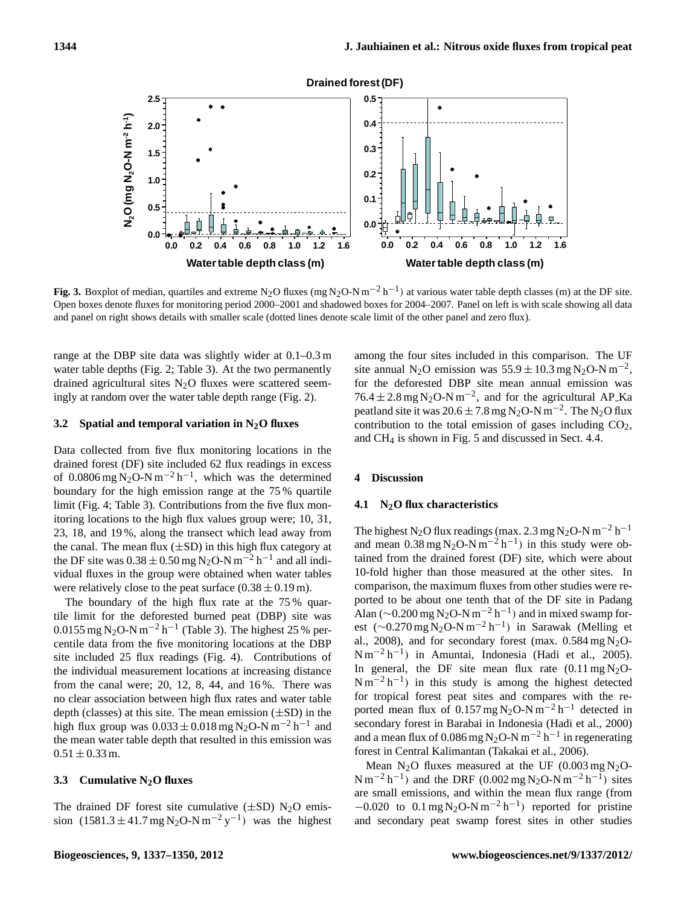

Open boxes denote fluxes for monitoring period 2000-2001 and shadowed boxes for 2004-2007. Panel on left is with scale showing all data and panel on right shows details with smaller scale (dotted lines denote scale limit of the other panel and zero flux). **Fig. 3.** Boxplot of median, quartiles and extreme N<sub>2</sub>O fluxes (mg N<sub>2</sub>O-N m<sup>-2</sup> h<sup>-1</sup>) at various water table depth classes (m) at the DF site.

range at the DBP site data was slightly wider at 0.1–0.3 m among the four sites included in this compa water table depths (Fig. 2; Table 3). At the two permanently drained agricultural sites  $N_2O$  fluxes were scattered seemingly at random over the water table depth range (Fig. 2).

#### **3.2 Spatial and temporal variation in N2O fluxes**

Data collected from five flux monitoring locations in the drained forest (DF) site included 62 flux readings in excess of 0.0806 mg N<sub>2</sub>O-N m<sup>-2</sup> h<sup>-1</sup>, which was the determined boundary for the high emission range at the 75 % quartile limit (Fig. 4; Table 3). Contributions from the five flux monitoring locations to the high flux values group were; 10, 31, 23, 18, and 19 %, along the transect which lead away from the canal. The mean flux  $(\pm SD)$  in this high flux category at the DF site was  $0.38 \pm 0.50$  mg N<sub>2</sub>O-N m<sup>-2</sup> h<sup>-1</sup> and all individual fluxes in the group were obtained when water tables were relatively close to the peat surface  $(0.38 \pm 0.19 \,\text{m})$ .

The boundary of the high flux rate at the 75% quartile limit for the deforested burned peat (DBP) site was 0.0155 mg N<sub>2</sub>O-N m<sup>-2</sup> h<sup>-1</sup> (Table 3). The highest 25 % percentile data from the five monitoring locations at the DBP site included 25 flux readings (Fig. 4). Contributions of the individual measurement locations at increasing distance from the canal were;  $20$ ,  $12$ ,  $8$ ,  $44$ , and  $16\%$ . There was no clear association between high flux rates and water table depth (classes) at this site. The mean emission  $(\pm SD)$  in the high flux group was  $0.033 \pm 0.018$  mg N<sub>2</sub>O-N m<sup>-2</sup> h<sup>-1</sup> and the mean water table depth that resulted in this emission was  $0.51 \pm 0.33$  m.

#### **3.3 Cumulative N2O fluxes**

The drained DF forest site cumulative  $(\pm SD)$  N<sub>2</sub>O emission  $(1581.3 \pm 41.7 \text{ mg N}_2\text{O-N m}^{-2} \text{ y}^{-1})$  was the highest

among the four sites included in this comparison. The UF site annual N<sub>2</sub>O emission was  $55.9 \pm 10.3$  mg N<sub>2</sub>O-N m<sup>-2</sup>, for the deforested DBP site mean annual emission was  $76.4 \pm 2.8$  mg N<sub>2</sub>O-N m<sup>-2</sup>, and for the agricultural AP\_Ka peatland site it was  $20.6 \pm 7.8$  mg N<sub>2</sub>O-N m<sup>-2</sup>. The N<sub>2</sub>O flux contribution to the total emission of gases including  $CO<sub>2</sub>$ , and CH<sup>4</sup> is shown in Fig. 5 and discussed in Sect. 4.4.

#### **4 Discussion**

#### **4.1 N2O flux characteristics**

24 forest in Central Kalimantan (Takakai et al., 2006). The highest N<sub>2</sub>O flux readings (max. 2.3 mg N<sub>2</sub>O-N m<sup>-2</sup> h<sup>-1</sup> and mean  $0.38 \text{ mg N}_2\text{O-N m}^{-2} \text{ h}^{-1}$ ) in this study were obtained from the drained forest (DF) site, which were about 10-fold higher than those measured at the other sites. In comparison, the maximum fluxes from other studies were reported to be about one tenth that of the DF site in Padang Alan (~0.200 mg N<sub>2</sub>O-N m<sup>-2</sup> h<sup>-1</sup>) and in mixed swamp forest (~0.270 mg N<sub>2</sub>O-N m<sup>-2</sup> h<sup>-1</sup>) in Sarawak (Melling et al., 2008), and for secondary forest (max.  $0.584 \text{ mg N}_2\text{O}$ -N m−<sup>2</sup> h −1 ) in Amuntai, Indonesia (Hadi et al., 2005). In general, the DF site mean flux rate  $(0.11 \text{ mg N}_2\text{O}$ - $Nm^{-2}h^{-1}$ ) in this study is among the highest detected for tropical forest peat sites and compares with the reported mean flux of  $0.157 \text{ mg N}_2\text{O-N m}^{-2} \text{ h}^{-1}$  detected in secondary forest in Barabai in Indonesia (Hadi et al., 2000) and a mean flux of 0.086 mg N<sub>2</sub>O-N m<sup>-2</sup> h<sup>-1</sup> in regenerating

Mean  $N_2O$  fluxes measured at the UF (0.003 mg  $N_2O$ -N m<sup>-2</sup> h<sup>-1</sup>) and the DRF (0.002 mg N<sub>2</sub>O-N m<sup>-2</sup> h<sup>-1</sup>) sites are small emissions, and within the mean flux range (from  $-0.020$  to  $0.1 \text{ mg N}_2\text{O-N m}^{-2} \text{ h}^{-1}$  reported for pristine and secondary peat swamp forest sites in other studies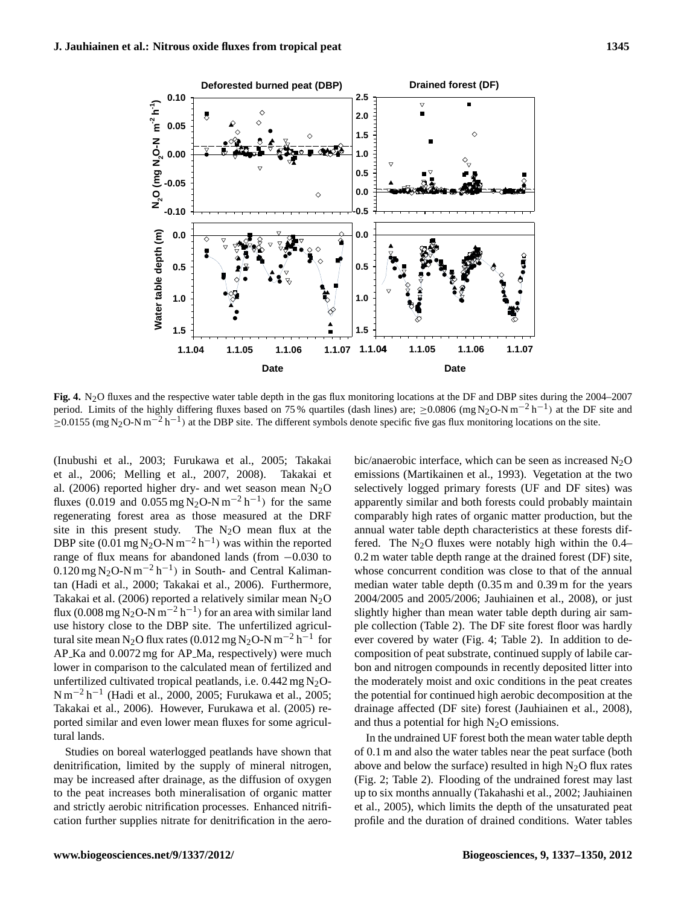

Fig. 4. N<sub>2</sub>O fluxes and the respective water table depth in the gas flux monitoring locations at the DF and DBP sites during the 2004–2007 period. Limits of the highly differing fluxes based on 75 % quartiles (dash lines) are;  $\geq 0.0806$  (mg N<sub>2</sub>O-N m<sup>-2</sup> h<sup>-1</sup>) at the DF site and  $\geq$ 0.0155 (mg N<sub>2</sub>O-N m<sup>-2</sup> h<sup>-1</sup>) at the DBP site. The different symbols denote specific five gas flux monitoring locations on the site.

(Inubushi et al., 2003; Furukawa et al., 2005; Takakai et al., 2006; Melling et al., 2007, 2008). Takakai et al. (2006) reported higher dry- and wet season mean  $N_2O$ fluxes (0.019 and 0.055 mg N<sub>2</sub>O-N m<sup>-2</sup> h<sup>-1</sup>) for the same regenerating forest area as those measured at the DRF site in this present study. The  $N_2O$  mean flux at the DBP site (0.01 mg N<sub>2</sub>O-N m<sup>-2</sup> h<sup>-1</sup>) was within the reported range of flux means for abandoned lands (from −0.030 to  $0.120 \,\text{mg}\,\text{N}_2\text{O-N}\,\text{m}^{-2}\,\text{h}^{-1}$ ) in South- and Central Kalimantan (Hadi et al., 2000; Takakai et al., 2006). Furthermore, Takakai et al. (2006) reported a relatively similar mean  $N_2O$ flux (0.008 mg N<sub>2</sub>O-N m<sup>-2</sup> h<sup>-1</sup>) for an area with similar land use history close to the DBP site. The unfertilized agricultural site mean N<sub>2</sub>O flux rates (0.012 mg N<sub>2</sub>O-N m<sup>-2</sup> h<sup>-1</sup> for AP<sub>-Ka</sub> and 0.0072 mg for AP<sub>-Ma</sub>, respectively) were much lower in comparison to the calculated mean of fertilized and unfertilized cultivated tropical peatlands, i.e.  $0.442 \text{ mg N}_2\text{O}$ -N m−<sup>2</sup> h −1 (Hadi et al., 2000, 2005; Furukawa et al., 2005; Takakai et al., 2006). However, Furukawa et al. (2005) reported similar and even lower mean fluxes for some agricultural lands.

Studies on boreal waterlogged peatlands have shown that denitrification, limited by the supply of mineral nitrogen, may be increased after drainage, as the diffusion of oxygen to the peat increases both mineralisation of organic matter and strictly aerobic nitrification processes. Enhanced nitrification further supplies nitrate for denitrification in the aerobic/anaerobic interface, which can be seen as increased  $N_2O$ emissions (Martikainen et al., 1993). Vegetation at the two selectively logged primary forests (UF and DF sites) was apparently similar and both forests could probably maintain comparably high rates of organic matter production, but the annual water table depth characteristics at these forests differed. The  $N_2O$  fluxes were notably high within the 0.4– 0.2 m water table depth range at the drained forest (DF) site, whose concurrent condition was close to that of the annual median water table depth (0.35 m and 0.39 m for the years 2004/2005 and 2005/2006; Jauhiainen et al., 2008), or just slightly higher than mean water table depth during air sample collection (Table 2). The DF site forest floor was hardly ever covered by water (Fig. 4; Table 2). In addition to decomposition of peat substrate, continued supply of labile carbon and nitrogen compounds in recently deposited litter into the moderately moist and oxic conditions in the peat creates the potential for continued high aerobic decomposition at the drainage affected (DF site) forest (Jauhiainen et al., 2008), and thus a potential for high  $N<sub>2</sub>O$  emissions.

In the undrained UF forest both the mean water table depth of 0.1 m and also the water tables near the peat surface (both above and below the surface) resulted in high  $N<sub>2</sub>O$  flux rates (Fig. 2; Table 2). Flooding of the undrained forest may last up to six months annually (Takahashi et al., 2002; Jauhiainen et al., 2005), which limits the depth of the unsaturated peat profile and the duration of drained conditions. Water tables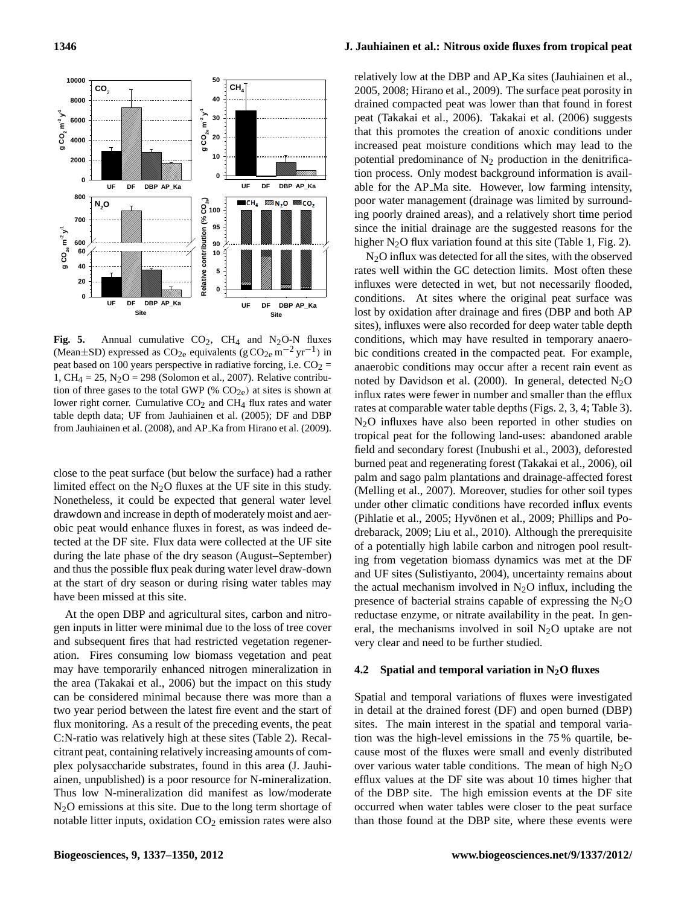

**Fig. 5.** Annual cumulative  $CO_2$ ,  $CH_4$  and  $N_2O-N$  fluxes contains the CO<sub>2</sub>, CH<sub>4</sub> and N<sub>2</sub>O-N fluxes (Mean±SD) expressed as CO<sub>2e</sub> equivalents (g CO<sub>2e</sub> m<sup>-2</sup> yr<sup>-1</sup>) in b peak based on 100 years perspective in radiative forcing, i.e.  $CO_2$  = 1, CH<sub>4</sub> = 25, N<sub>2</sub>O = 298 (Solomon et al., 2007). Relative contribution of three gases to the total GWP (%  $CO<sub>2e</sub>$ ) at sites is shown at lower right corner. Cumulative  $CO<sub>2</sub>$  and CH<sub>4</sub> flux rates and water table depth data; UF from Jauhiainen et al. (2005); DF and DBP from Jauhiainen et al. (2008), and AP Ka from Hirano et al. (2009).

close to the peat surface (but below the surface) had a rather limited effect on the  $N_2O$  fluxes at the UF site in this study. Nonetheless, it could be expected that general water level drawdown and increase in depth of moderately moist and aerobic peat would enhance fluxes in forest, as was indeed detected at the DF site. Flux data were collected at the UF site during the late phase of the dry season (August–September) and thus the possible flux peak during water level draw-down at the start of dry season or during rising water tables may have been missed at this site.

At the open DBP and agricultural sites, carbon and nitrogen inputs in litter were minimal due to the loss of tree cover and subsequent fires that had restricted vegetation regeneration. Fires consuming low biomass vegetation and peat may have temporarily enhanced nitrogen mineralization in the area (Takakai et al., 2006) but the impact on this study can be considered minimal because there was more than a two year period between the latest fire event and the start of flux monitoring. As a result of the preceding events, the peat C:N-ratio was relatively high at these sites (Table 2). Recalcitrant peat, containing relatively increasing amounts of complex polysaccharide substrates, found in this area (J. Jauhiainen, unpublished) is a poor resource for N-mineralization. Thus low N-mineralization did manifest as low/moderate N<sub>2</sub>O emissions at this site. Due to the long term shortage of notable litter inputs, oxidation  $CO<sub>2</sub>$  emission rates were also

# **1346 J. Jauhiainen et al.: Nitrous oxide fluxes from tropical peat**

relatively low at the DBP and AP Ka sites (Jauhiainen et al., 2005, 2008; Hirano et al., 2009). The surface peat porosity in drained compacted peat was lower than that found in forest peat (Takakai et al., 2006). Takakai et al. (2006) suggests that this promotes the creation of anoxic conditions under increased peat moisture conditions which may lead to the potential predominance of  $N_2$  production in the denitrification process. Only modest background information is available for the AP Ma site. However, low farming intensity, poor water management (drainage was limited by surrounding poorly drained areas), and a relatively short time period since the initial drainage are the suggested reasons for the higher N<sub>2</sub>O flux variation found at this site (Table 1, Fig. 2).

(Pihlatie et al., 2005; Hyvönen et al., 2009; Phillips and Po- $N<sub>2</sub>O$  influx was detected for all the sites, with the observed rates well within the GC detection limits. Most often these influxes were detected in wet, but not necessarily flooded, conditions. At sites where the original peat surface was lost by oxidation after drainage and fires (DBP and both AP sites), influxes were also recorded for deep water table depth conditions, which may have resulted in temporary anaerobic conditions created in the compacted peat. For example, anaerobic conditions may occur after a recent rain event as noted by Davidson et al. (2000). In general, detected  $N_2O$ influx rates were fewer in number and smaller than the efflux rates at comparable water table depths (Figs. 2, 3, 4; Table 3). N<sub>2</sub>O influxes have also been reported in other studies on tropical peat for the following land-uses: abandoned arable field and secondary forest (Inubushi et al., 2003), deforested burned peat and regenerating forest (Takakai et al., 2006), oil palm and sago palm plantations and drainage-affected forest (Melling et al., 2007). Moreover, studies for other soil types under other climatic conditions have recorded influx events drebarack, 2009; Liu et al., 2010). Although the prerequisite of a potentially high labile carbon and nitrogen pool resulting from vegetation biomass dynamics was met at the DF and UF sites (Sulistiyanto, 2004), uncertainty remains about the actual mechanism involved in  $N<sub>2</sub>O$  influx, including the presence of bacterial strains capable of expressing the  $N_2O$ reductase enzyme, or nitrate availability in the peat. In general, the mechanisms involved in soil  $N_2O$  uptake are not very clear and need to be further studied.

### **4.2 Spatial and temporal variation in N2O fluxes**

Spatial and temporal variations of fluxes were investigated in detail at the drained forest (DF) and open burned (DBP) sites. The main interest in the spatial and temporal variation was the high-level emissions in the 75 % quartile, because most of the fluxes were small and evenly distributed over various water table conditions. The mean of high  $N<sub>2</sub>O$ efflux values at the DF site was about 10 times higher that of the DBP site. The high emission events at the DF site occurred when water tables were closer to the peat surface than those found at the DBP site, where these events were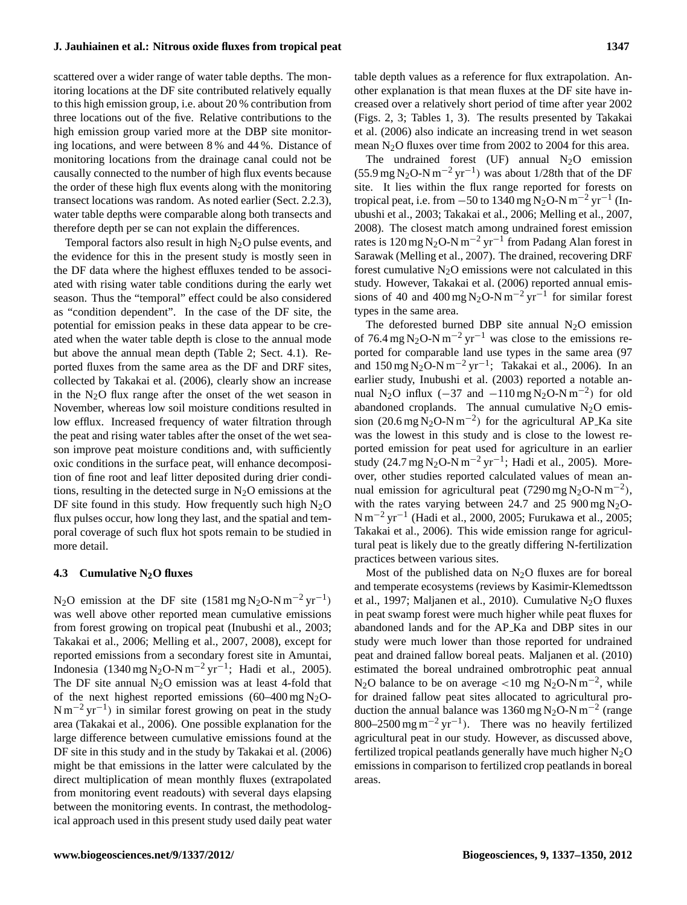scattered over a wider range of water table depths. The monitoring locations at the DF site contributed relatively equally to this high emission group, i.e. about 20 % contribution from three locations out of the five. Relative contributions to the high emission group varied more at the DBP site monitoring locations, and were between 8 % and 44 %. Distance of monitoring locations from the drainage canal could not be causally connected to the number of high flux events because the order of these high flux events along with the monitoring transect locations was random. As noted earlier (Sect. 2.2.3), water table depths were comparable along both transects and therefore depth per se can not explain the differences.

Temporal factors also result in high  $N_2O$  pulse events, and the evidence for this in the present study is mostly seen in the DF data where the highest effluxes tended to be associated with rising water table conditions during the early wet season. Thus the "temporal" effect could be also considered as "condition dependent". In the case of the DF site, the potential for emission peaks in these data appear to be created when the water table depth is close to the annual mode but above the annual mean depth (Table 2; Sect. 4.1). Reported fluxes from the same area as the DF and DRF sites, collected by Takakai et al. (2006), clearly show an increase in the  $N<sub>2</sub>O$  flux range after the onset of the wet season in November, whereas low soil moisture conditions resulted in low efflux. Increased frequency of water filtration through the peat and rising water tables after the onset of the wet season improve peat moisture conditions and, with sufficiently oxic conditions in the surface peat, will enhance decomposition of fine root and leaf litter deposited during drier conditions, resulting in the detected surge in  $N_2O$  emissions at the DF site found in this study. How frequently such high  $N_2O$ flux pulses occur, how long they last, and the spatial and temporal coverage of such flux hot spots remain to be studied in more detail.

### **4.3 Cumulative N2O fluxes**

N<sub>2</sub>O emission at the DF site (1581 mg N<sub>2</sub>O-N m<sup>-2</sup> yr<sup>-1</sup>) was well above other reported mean cumulative emissions from forest growing on tropical peat (Inubushi et al., 2003; Takakai et al., 2006; Melling et al., 2007, 2008), except for reported emissions from a secondary forest site in Amuntai, Indonesia (1340 mg N<sub>2</sub>O-N m<sup>-2</sup> yr<sup>-1</sup>; Hadi et al., 2005). The DF site annual  $N_2O$  emission was at least 4-fold that of the next highest reported emissions  $(60-400 \text{ mg N}_2\text{O}$ - $N m^{-2} yr^{-1}$ ) in similar forest growing on peat in the study area (Takakai et al., 2006). One possible explanation for the large difference between cumulative emissions found at the DF site in this study and in the study by Takakai et al. (2006) might be that emissions in the latter were calculated by the direct multiplication of mean monthly fluxes (extrapolated from monitoring event readouts) with several days elapsing between the monitoring events. In contrast, the methodological approach used in this present study used daily peat water table depth values as a reference for flux extrapolation. Another explanation is that mean fluxes at the DF site have increased over a relatively short period of time after year 2002 (Figs. 2, 3; Tables 1, 3). The results presented by Takakai et al. (2006) also indicate an increasing trend in wet season mean N2O fluxes over time from 2002 to 2004 for this area.

The undrained forest (UF) annual  $N_2O$  emission (55.9 mg N<sub>2</sub>O-N m<sup>-2</sup> yr<sup>-1</sup>) was about 1/28th that of the DF site. It lies within the flux range reported for forests on tropical peat, i.e. from  $-50$  to 1340 mg N<sub>2</sub>O-N m<sup>-2</sup> yr<sup>-1</sup> (Inubushi et al., 2003; Takakai et al., 2006; Melling et al., 2007, 2008). The closest match among undrained forest emission rates is 120 mg N<sub>2</sub>O-N m<sup>-2</sup> yr<sup>-1</sup> from Padang Alan forest in Sarawak (Melling et al., 2007). The drained, recovering DRF forest cumulative  $N_2O$  emissions were not calculated in this study. However, Takakai et al. (2006) reported annual emissions of 40 and  $400 \text{ mg N}_2\text{O-N} \text{ m}^{-2} \text{ yr}^{-1}$  for similar forest types in the same area.

The deforested burned DBP site annual  $N_2O$  emission of 76.4 mg N<sub>2</sub>O-N m<sup>-2</sup> yr<sup>-1</sup> was close to the emissions reported for comparable land use types in the same area (97 and  $150 \text{ mg N}_2\text{O-N m}^{-2} \text{ yr}^{-1}$ ; Takakai et al., 2006). In an earlier study, Inubushi et al. (2003) reported a notable annual N<sub>2</sub>O influx  $(-37 \text{ and } -110 \text{ mgN}_2\text{O-N m}^{-2})$  for old abandoned croplands. The annual cumulative  $N_2O$  emission (20.6 mg N<sub>2</sub>O-N m<sup>-2</sup>) for the agricultural AP<sub>-</sub>Ka site was the lowest in this study and is close to the lowest reported emission for peat used for agriculture in an earlier study (24.7 mg N<sub>2</sub>O-N m<sup>-2</sup> yr<sup>-1</sup>; Hadi et al., 2005). Moreover, other studies reported calculated values of mean annual emission for agricultural peat (7290 mg N<sub>2</sub>O-N m<sup>-2</sup>), with the rates varying between 24.7 and 25 900 mg  $N_2O$ -N m−<sup>2</sup> yr−<sup>1</sup> (Hadi et al., 2000, 2005; Furukawa et al., 2005; Takakai et al., 2006). This wide emission range for agricultural peat is likely due to the greatly differing N-fertilization practices between various sites.

Most of the published data on  $N_2O$  fluxes are for boreal and temperate ecosystems (reviews by Kasimir-Klemedtsson et al., 1997; Maljanen et al., 2010). Cumulative  $N_2O$  fluxes in peat swamp forest were much higher while peat fluxes for abandoned lands and for the AP Ka and DBP sites in our study were much lower than those reported for undrained peat and drained fallow boreal peats. Maljanen et al. (2010) estimated the boreal undrained ombrotrophic peat annual N<sub>2</sub>O balance to be on average <10 mg N<sub>2</sub>O-N m<sup>-2</sup>, while for drained fallow peat sites allocated to agricultural production the annual balance was 1360 mg N<sub>2</sub>O-N m<sup>-2</sup> (range 800–2500 mg m<sup>-2</sup> yr<sup>-1</sup>). There was no heavily fertilized agricultural peat in our study. However, as discussed above, fertilized tropical peatlands generally have much higher  $N_2O$ emissions in comparison to fertilized crop peatlands in boreal areas.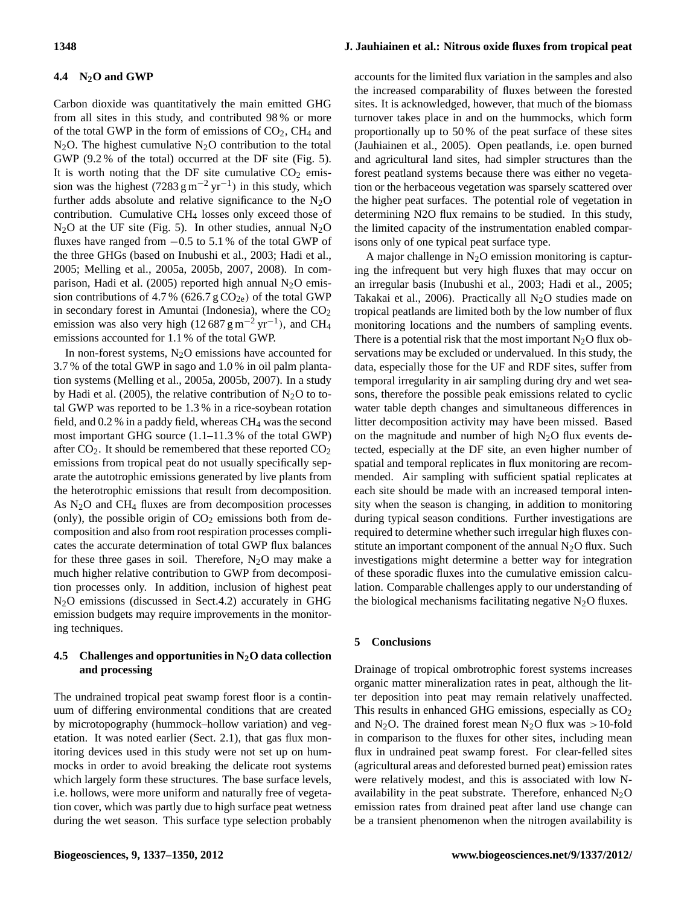# **4.4 N2O and GWP**

Carbon dioxide was quantitatively the main emitted GHG from all sites in this study, and contributed 98 % or more of the total GWP in the form of emissions of  $CO<sub>2</sub>$ , CH<sub>4</sub> and  $N_2O$ . The highest cumulative  $N_2O$  contribution to the total GWP (9.2 % of the total) occurred at the DF site (Fig. 5). It is worth noting that the DF site cumulative  $CO<sub>2</sub>$  emission was the highest (7283 g m<sup>-2</sup> yr<sup>-1</sup>) in this study, which further adds absolute and relative significance to the  $N_2O$ contribution. Cumulative CH<sup>4</sup> losses only exceed those of  $N_2O$  at the UF site (Fig. 5). In other studies, annual  $N_2O$ fluxes have ranged from −0.5 to 5.1 % of the total GWP of the three GHGs (based on Inubushi et al., 2003; Hadi et al., 2005; Melling et al., 2005a, 2005b, 2007, 2008). In comparison, Hadi et al. (2005) reported high annual  $N_2O$  emission contributions of 4.7 % (626.7 g  $CO<sub>2e</sub>$ ) of the total GWP in secondary forest in Amuntai (Indonesia), where the  $CO<sub>2</sub>$ emission was also very high (12 687 g m<sup>-2</sup> yr<sup>-1</sup>), and CH<sub>4</sub> emissions accounted for 1.1 % of the total GWP.

In non-forest systems,  $N_2O$  emissions have accounted for 3.7 % of the total GWP in sago and 1.0 % in oil palm plantation systems (Melling et al., 2005a, 2005b, 2007). In a study by Hadi et al. (2005), the relative contribution of  $N_2O$  to total GWP was reported to be 1.3 % in a rice-soybean rotation field, and  $0.2\%$  in a paddy field, whereas CH<sub>4</sub> was the second most important GHG source (1.1–11.3 % of the total GWP) after  $CO<sub>2</sub>$ . It should be remembered that these reported  $CO<sub>2</sub>$ emissions from tropical peat do not usually specifically separate the autotrophic emissions generated by live plants from the heterotrophic emissions that result from decomposition. As  $N_2O$  and CH<sub>4</sub> fluxes are from decomposition processes (only), the possible origin of  $CO<sub>2</sub>$  emissions both from decomposition and also from root respiration processes complicates the accurate determination of total GWP flux balances for these three gases in soil. Therefore,  $N_2O$  may make a much higher relative contribution to GWP from decomposition processes only. In addition, inclusion of highest peat  $N<sub>2</sub>O$  emissions (discussed in Sect.4.2) accurately in GHG emission budgets may require improvements in the monitoring techniques.

# **4.5 Challenges and opportunities in N2O data collection and processing**

The undrained tropical peat swamp forest floor is a continuum of differing environmental conditions that are created by microtopography (hummock–hollow variation) and vegetation. It was noted earlier (Sect. 2.1), that gas flux monitoring devices used in this study were not set up on hummocks in order to avoid breaking the delicate root systems which largely form these structures. The base surface levels, i.e. hollows, were more uniform and naturally free of vegetation cover, which was partly due to high surface peat wetness during the wet season. This surface type selection probably

# **1348 J. Jauhiainen et al.: Nitrous oxide fluxes from tropical peat**

accounts for the limited flux variation in the samples and also the increased comparability of fluxes between the forested sites. It is acknowledged, however, that much of the biomass turnover takes place in and on the hummocks, which form proportionally up to 50 % of the peat surface of these sites (Jauhiainen et al., 2005). Open peatlands, i.e. open burned and agricultural land sites, had simpler structures than the forest peatland systems because there was either no vegetation or the herbaceous vegetation was sparsely scattered over the higher peat surfaces. The potential role of vegetation in determining N2O flux remains to be studied. In this study, the limited capacity of the instrumentation enabled comparisons only of one typical peat surface type.

A major challenge in  $N<sub>2</sub>O$  emission monitoring is capturing the infrequent but very high fluxes that may occur on an irregular basis (Inubushi et al., 2003; Hadi et al., 2005; Takakai et al., 2006). Practically all  $N<sub>2</sub>O$  studies made on tropical peatlands are limited both by the low number of flux monitoring locations and the numbers of sampling events. There is a potential risk that the most important  $N_2O$  flux observations may be excluded or undervalued. In this study, the data, especially those for the UF and RDF sites, suffer from temporal irregularity in air sampling during dry and wet seasons, therefore the possible peak emissions related to cyclic water table depth changes and simultaneous differences in litter decomposition activity may have been missed. Based on the magnitude and number of high  $N_2O$  flux events detected, especially at the DF site, an even higher number of spatial and temporal replicates in flux monitoring are recommended. Air sampling with sufficient spatial replicates at each site should be made with an increased temporal intensity when the season is changing, in addition to monitoring during typical season conditions. Further investigations are required to determine whether such irregular high fluxes constitute an important component of the annual  $N_2O$  flux. Such investigations might determine a better way for integration of these sporadic fluxes into the cumulative emission calculation. Comparable challenges apply to our understanding of the biological mechanisms facilitating negative  $N_2O$  fluxes.

#### **5 Conclusions**

Drainage of tropical ombrotrophic forest systems increases organic matter mineralization rates in peat, although the litter deposition into peat may remain relatively unaffected. This results in enhanced GHG emissions, especially as  $CO<sub>2</sub>$ and N<sub>2</sub>O. The drained forest mean N<sub>2</sub>O flux was >10-fold in comparison to the fluxes for other sites, including mean flux in undrained peat swamp forest. For clear-felled sites (agricultural areas and deforested burned peat) emission rates were relatively modest, and this is associated with low Navailability in the peat substrate. Therefore, enhanced  $N_2O$ emission rates from drained peat after land use change can be a transient phenomenon when the nitrogen availability is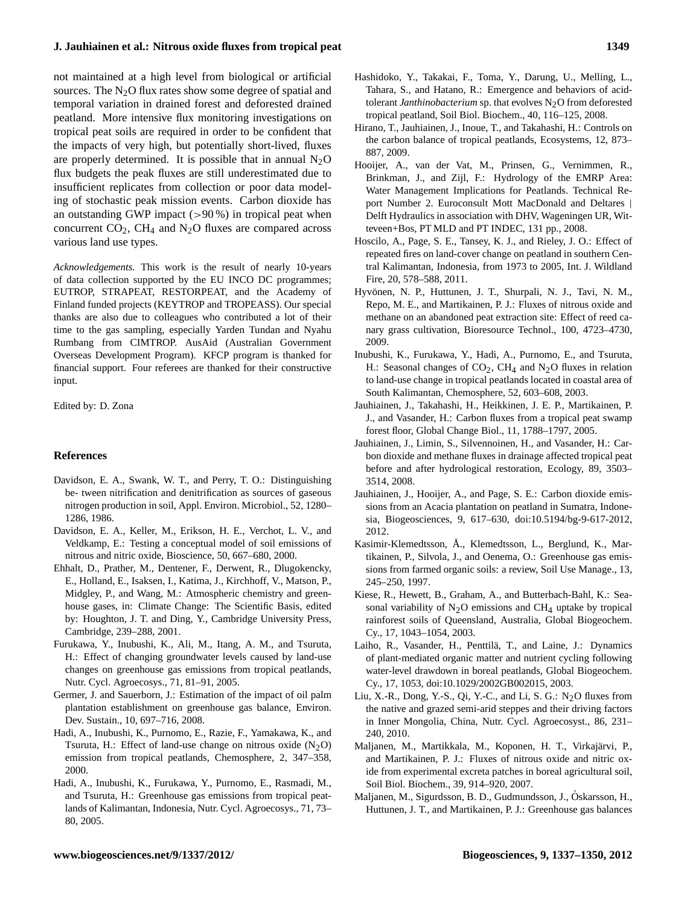# **J. Jauhiainen et al.: Nitrous oxide fluxes from tropical peat 1349**

not maintained at a high level from biological or artificial sources. The  $N<sub>2</sub>O$  flux rates show some degree of spatial and temporal variation in drained forest and deforested drained peatland. More intensive flux monitoring investigations on tropical peat soils are required in order to be confident that the impacts of very high, but potentially short-lived, fluxes are properly determined. It is possible that in annual  $N_2O$ flux budgets the peak fluxes are still underestimated due to insufficient replicates from collection or poor data modeling of stochastic peak mission events. Carbon dioxide has an outstanding GWP impact  $(>90\%)$  in tropical peat when concurrent  $CO<sub>2</sub>$ , CH<sub>4</sub> and N<sub>2</sub>O fluxes are compared across various land use types.

*Acknowledgements.* This work is the result of nearly 10-years of data collection supported by the EU INCO DC programmes; EUTROP, STRAPEAT, RESTORPEAT, and the Academy of Finland funded projects (KEYTROP and TROPEASS). Our special thanks are also due to colleagues who contributed a lot of their time to the gas sampling, especially Yarden Tundan and Nyahu Rumbang from CIMTROP. AusAid (Australian Government Overseas Development Program). KFCP program is thanked for financial support. Four referees are thanked for their constructive input.

Edited by: D. Zona

### **References**

- Davidson, E. A., Swank, W. T., and Perry, T. O.: Distinguishing be- tween nitrification and denitrification as sources of gaseous nitrogen production in soil, Appl. Environ. Microbiol., 52, 1280– 1286, 1986.
- Davidson, E. A., Keller, M., Erikson, H. E., Verchot, L. V., and Veldkamp, E.: Testing a conceptual model of soil emissions of nitrous and nitric oxide, Bioscience, 50, 667–680, 2000.
- Ehhalt, D., Prather, M., Dentener, F., Derwent, R., Dlugokencky, E., Holland, E., Isaksen, I., Katima, J., Kirchhoff, V., Matson, P., Midgley, P., and Wang, M.: Atmospheric chemistry and greenhouse gases, in: Climate Change: The Scientific Basis, edited by: Houghton, J. T. and Ding, Y., Cambridge University Press, Cambridge, 239–288, 2001.
- Furukawa, Y., Inubushi, K., Ali, M., Itang, A. M., and Tsuruta, H.: Effect of changing groundwater levels caused by land-use changes on greenhouse gas emissions from tropical peatlands, Nutr. Cycl. Agroecosys., 71, 81–91, 2005.
- Germer, J. and Sauerborn, J.: Estimation of the impact of oil palm plantation establishment on greenhouse gas balance, Environ. Dev. Sustain., 10, 697–716, 2008.
- Hadi, A., Inubushi, K., Purnomo, E., Razie, F., Yamakawa, K., and Tsuruta, H.: Effect of land-use change on nitrous oxide  $(N_2O)$ emission from tropical peatlands, Chemosphere, 2, 347–358, 2000.
- Hadi, A., Inubushi, K., Furukawa, Y., Purnomo, E., Rasmadi, M., and Tsuruta, H.: Greenhouse gas emissions from tropical peatlands of Kalimantan, Indonesia, Nutr. Cycl. Agroecosys., 71, 73– 80, 2005.
- Hashidoko, Y., Takakai, F., Toma, Y., Darung, U., Melling, L., Tahara, S., and Hatano, R.: Emergence and behaviors of acidtolerant *Janthinobacterium* sp. that evolves N<sub>2</sub>O from deforested tropical peatland, Soil Biol. Biochem., 40, 116–125, 2008.
- Hirano, T., Jauhiainen, J., Inoue, T., and Takahashi, H.: Controls on the carbon balance of tropical peatlands, Ecosystems, 12, 873– 887, 2009.
- Hooijer, A., van der Vat, M., Prinsen, G., Vernimmen, R., Brinkman, J., and Zijl, F.: Hydrology of the EMRP Area: Water Management Implications for Peatlands. Technical Report Number 2. Euroconsult Mott MacDonald and Deltares | Delft Hydraulics in association with DHV, Wageningen UR, Witteveen+Bos, PT MLD and PT INDEC, 131 pp., 2008.
- Hoscilo, A., Page, S. E., Tansey, K. J., and Rieley, J. O.: Effect of repeated fires on land-cover change on peatland in southern Central Kalimantan, Indonesia, from 1973 to 2005, Int. J. Wildland Fire, 20, 578–588, 2011.
- Hyvönen, N. P., Huttunen, J. T., Shurpali, N. J., Tavi, N. M., Repo, M. E., and Martikainen, P. J.: Fluxes of nitrous oxide and methane on an abandoned peat extraction site: Effect of reed canary grass cultivation, Bioresource Technol., 100, 4723–4730, 2009.
- Inubushi, K., Furukawa, Y., Hadi, A., Purnomo, E., and Tsuruta, H.: Seasonal changes of  $CO_2$ , CH<sub>4</sub> and N<sub>2</sub>O fluxes in relation to land-use change in tropical peatlands located in coastal area of South Kalimantan, Chemosphere, 52, 603–608, 2003.
- Jauhiainen, J., Takahashi, H., Heikkinen, J. E. P., Martikainen, P. J., and Vasander, H.: Carbon fluxes from a tropical peat swamp forest floor, Global Change Biol., 11, 1788–1797, 2005.
- Jauhiainen, J., Limin, S., Silvennoinen, H., and Vasander, H.: Carbon dioxide and methane fluxes in drainage affected tropical peat before and after hydrological restoration, Ecology, 89, 3503– 3514, 2008.
- Jauhiainen, J., Hooijer, A., and Page, S. E.: Carbon dioxide emissions from an Acacia plantation on peatland in Sumatra, Indonesia, Biogeosciences, 9, 617–630, doi:10.5194/bg-9-617-2012, 2012.
- Kasimir-Klemedtsson, Å., Klemedtsson, L., Berglund, K., Martikainen, P., Silvola, J., and Oenema, O.: Greenhouse gas emissions from farmed organic soils: a review, Soil Use Manage., 13, 245–250, 1997.
- Kiese, R., Hewett, B., Graham, A., and Butterbach-Bahl, K.: Seasonal variability of  $N_2O$  emissions and CH<sub>4</sub> uptake by tropical rainforest soils of Queensland, Australia, Global Biogeochem. Cy., 17, 1043–1054, 2003.
- Laiho, R., Vasander, H., Penttilä, T., and Laine, J.: Dynamics of plant-mediated organic matter and nutrient cycling following water-level drawdown in boreal peatlands, Global Biogeochem. Cy., 17, 1053, [doi:10.1029/2002GB002015,](http://dx.doi.org/10.1029/2002GB002015) 2003.
- Liu, X.-R., Dong, Y.-S., Qi, Y.-C., and Li, S. G.:  $N_2O$  fluxes from the native and grazed semi-arid steppes and their driving factors in Inner Mongolia, China, Nutr. Cycl. Agroecosyst., 86, 231– 240, 2010.
- Maljanen, M., Martikkala, M., Koponen, H. T., Virkajarvi, P., ¨ and Martikainen, P. J.: Fluxes of nitrous oxide and nitric oxide from experimental excreta patches in boreal agricultural soil, Soil Biol. Biochem., 39, 914–920, 2007.
- Maljanen, M., Sigurdsson, B. D., Gudmundsson, J., Oskarsson, H., ´ Huttunen, J. T., and Martikainen, P. J.: Greenhouse gas balances